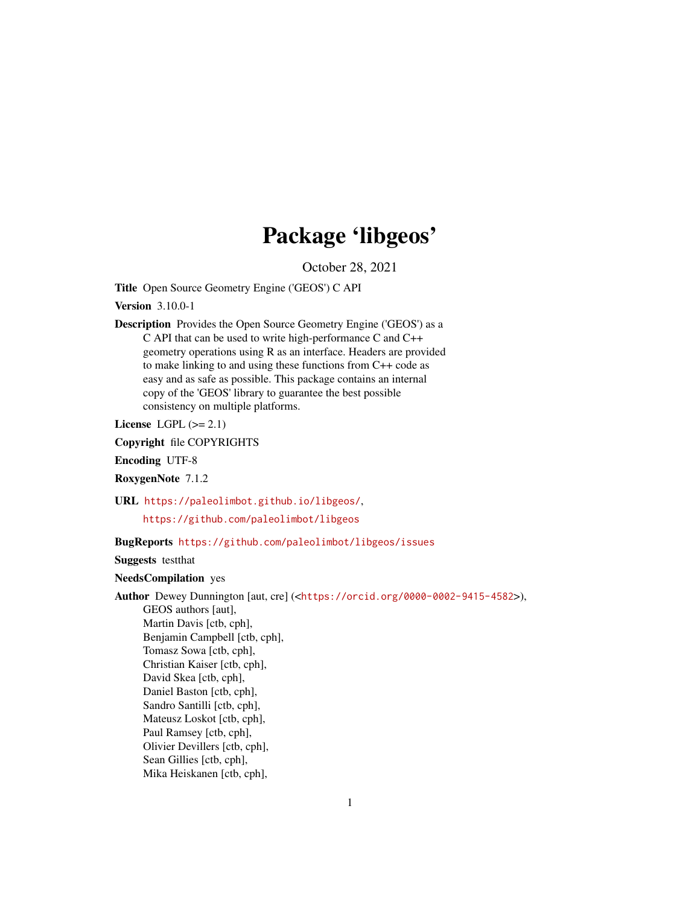## Package 'libgeos'

October 28, 2021

Title Open Source Geometry Engine ('GEOS') C API

Version 3.10.0-1

Description Provides the Open Source Geometry Engine ('GEOS') as a C API that can be used to write high-performance C and C++ geometry operations using R as an interface. Headers are provided to make linking to and using these functions from C++ code as easy and as safe as possible. This package contains an internal copy of the 'GEOS' library to guarantee the best possible consistency on multiple platforms.

License LGPL  $(>= 2.1)$ 

Copyright file COPYRIGHTS

Encoding UTF-8

RoxygenNote 7.1.2

URL <https://paleolimbot.github.io/libgeos/>,

<https://github.com/paleolimbot/libgeos>

#### BugReports <https://github.com/paleolimbot/libgeos/issues>

Suggests testthat

NeedsCompilation yes

Author Dewey Dunnington [aut, cre] (<<https://orcid.org/0000-0002-9415-4582>>),

GEOS authors [aut], Martin Davis [ctb, cph], Benjamin Campbell [ctb, cph], Tomasz Sowa [ctb, cph], Christian Kaiser [ctb, cph], David Skea [ctb, cph], Daniel Baston [ctb, cph], Sandro Santilli [ctb, cph], Mateusz Loskot [ctb, cph], Paul Ramsey [ctb, cph], Olivier Devillers [ctb, cph], Sean Gillies [ctb, cph], Mika Heiskanen [ctb, cph],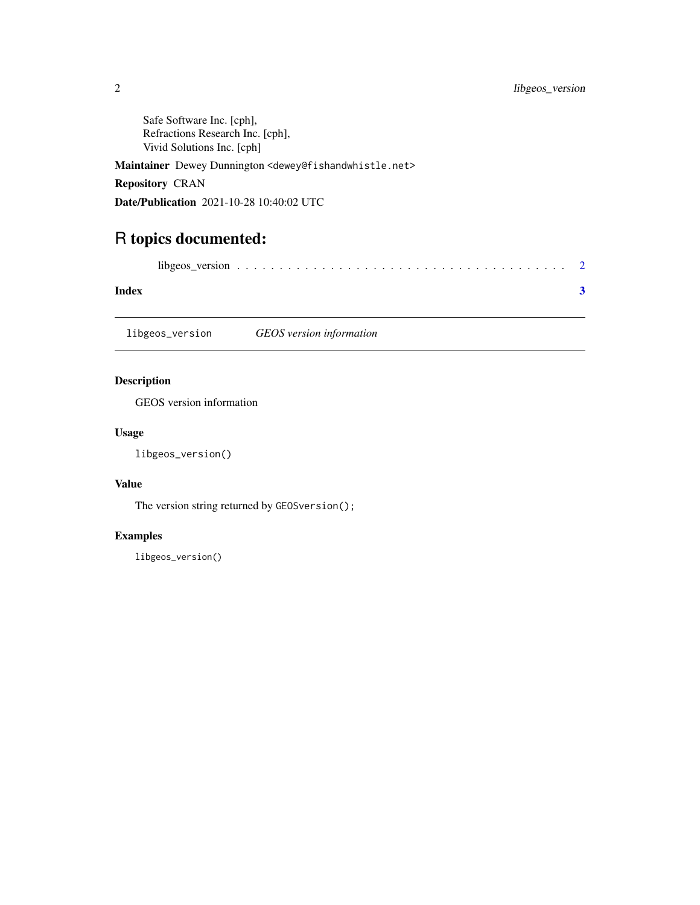<span id="page-1-0"></span>Safe Software Inc. [cph], Refractions Research Inc. [cph], Vivid Solutions Inc. [cph]

Maintainer Dewey Dunnington <dewey@fishandwhistle.net>

#### Repository CRAN

Date/Publication 2021-10-28 10:40:02 UTC

### R topics documented:

| Index |  |
|-------|--|

libgeos\_version *GEOS version information*

#### Description

GEOS version information

#### Usage

libgeos\_version()

#### Value

The version string returned by GEOSversion();

#### Examples

libgeos\_version()